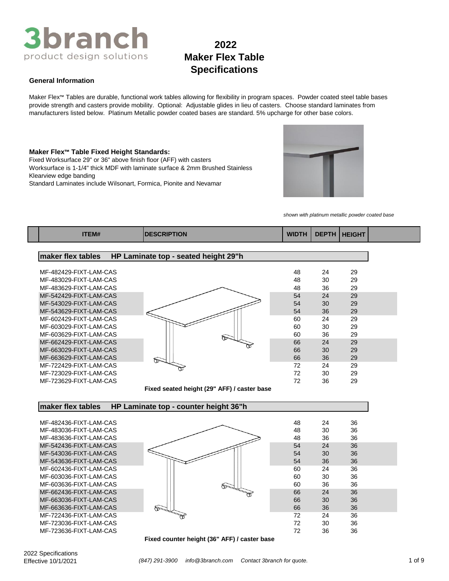## **2022 Maker Flex Table Specifications**

#### **General Information**

Maker Flex™ Tables are durable, functional work tables allowing for flexibility in program spaces. Powder coated steel table bases provide strength and casters provide mobility. Optional: Adjustable glides in lieu of casters. Choose standard laminates from manufacturers listed below. Platinum Metallic powder coated bases are standard. 5% upcharge for other base colors.

#### **Maker Flex™ Table Fixed Height Standards:**

Fixed Worksurface 29" or 36" above finish floor (AFF) with casters Standard Laminates include Wilsonart, Formica, Pionite and Nevamar Worksurface is 1-1/4" thick MDF with laminate surface & 2mm Brushed Stainless Klearview edge banding



*shown with platinum metallic powder coated base*

| <b>ITEM#</b>           | <b>DESCRIPTION</b>                          | <b>WIDTH</b> | <b>DEPTH</b> | <b>HEIGHT</b> |
|------------------------|---------------------------------------------|--------------|--------------|---------------|
|                        |                                             |              |              |               |
| maker flex tables      | HP Laminate top - seated height 29"h        |              |              |               |
| MF-482429-FIXT-LAM-CAS |                                             | 48           | 24           | 29            |
| MF-483029-FIXT-LAM-CAS |                                             | 48           | 30           | 29            |
| MF-483629-FIXT-LAM-CAS |                                             | 48           | 36           | 29            |
| MF-542429-FIXT-LAM-CAS |                                             | 54           | 24           | 29            |
| MF-543029-FIXT-LAM-CAS |                                             | 54           | 30           | 29            |
| MF-543629-FIXT-LAM-CAS |                                             | 54           | 36           | 29            |
| MF-602429-FIXT-LAM-CAS |                                             | 60           | 24           | 29            |
| MF-603029-FIXT-LAM-CAS |                                             | 60           | 30           | 29            |
| MF-603629-FIXT-LAM-CAS |                                             | 60           | 36           | 29            |
| MF-662429-FIXT-LAM-CAS |                                             | 66           | 24           | 29            |
| MF-663029-FIXT-LAM-CAS |                                             | 66           | 30           | 29            |
| MF-663629-FIXT-LAM-CAS |                                             | 66           | 36           | 29            |
| MF-722429-FIXT-LAM-CAS | œ                                           | 72           | 24           | 29            |
| MF-723029-FIXT-LAM-CAS |                                             | 72           | 30           | 29            |
| MF-723629-FIXT-LAM-CAS |                                             | 72           | 36           | 29            |
|                        | Fixed seated height (29" AFF) / caster base |              |              |               |
| maker flex tables      | HP Laminate top - counter height 36"h       |              |              |               |
| MF-482436-FIXT-LAM-CAS |                                             | 48           | 24           | 36            |
| MF-483036-FIXT-LAM-CAS |                                             | 48           | 30           | 36            |
| MF-483636-FIXT-LAM-CAS |                                             | 48           | 36           | 36            |
| MF-542436-FIXT-LAM-CAS |                                             | 54           | 24           | 36            |
| MF-543036-FIXT-LAM-CAS |                                             | 54           | 30           | 36            |
| MF-543636-FIXT-LAM-CAS |                                             | 54           | 36           | 36            |
| MF-602436-FIXT-LAM-CAS |                                             | 60           | 24           | 36            |
| MF-603036-FIXT-LAM-CAS |                                             | 60           | 30           | 36            |
| MF-603636-FIXT-LAM-CAS |                                             | 60           | 36           | 36            |
| MF-662436-FIXT-LAM-CAS |                                             | 66           | 24           | 36            |
| MF-663036-FIXT-LAM-CAS |                                             | 66           | 30           | 36            |
| MF-663636-FIXT-LAM-CAS | È                                           | 66           | 36           | 36            |
| MF-722436-FIXT-LAM-CAS |                                             | 72           | 24           | 36            |
| MF-723036-FIXT-LAM-CAS |                                             | 72           | 30           | 36            |
| MF-723636-FIXT-LAM-CAS |                                             | 72           | 36           | 36            |

**Fixed counter height (36" AFF) / caster base**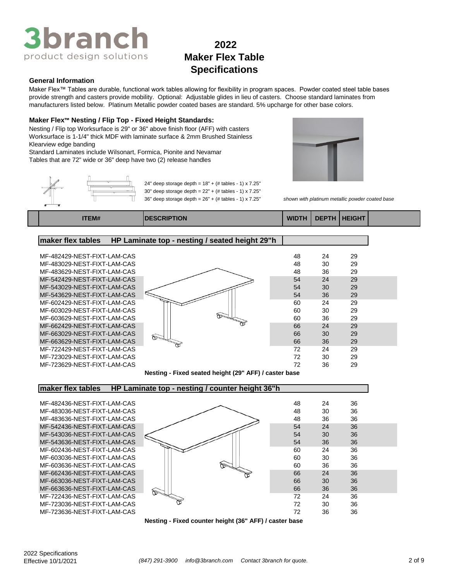

#### **General Information**

Maker Flex™ Tables are durable, functional work tables allowing for flexibility in program spaces. Powder coated steel table bases provide strength and casters provide mobility. Optional: Adjustable glides in lieu of casters. Choose standard laminates from manufacturers listed below. Platinum Metallic powder coated bases are standard. 5% upcharge for other base colors.

24" deep storage depth =  $18" + (# tables - 1) \times 7.25"$ 

#### **Maker Flex™ Nesting / Flip Top - Fixed Height Standards:**

Nesting / Flip top Worksurface is 29" or 36" above finish floor (AFF) with casters Worksurface is 1-1/4" thick MDF with laminate surface & 2mm Brushed Stainless Klearview edge banding

Standard Laminates include Wilsonart, Formica, Pionite and Nevamar Tables that are 72" wide or 36" deep have two (2) release handles



36" deep storage depth = 26" + (# tables - 1) x 7.25" *shown with platinum metallic powder coated base*





**ITEM# DESCRIPTION WIDTH DEPTH HEIGHT**

### **maker flex tables HP Laminate top - nesting / seated height 29"h**



| Nesting - Fixed seated height (29" AFF) / caster base |  |  |  |  |
|-------------------------------------------------------|--|--|--|--|
|                                                       |  |  |  |  |

### **maker flex tables HP Laminate top - nesting / counter height 36"h**



**Nesting - Fixed counter height (36" AFF) / caster base**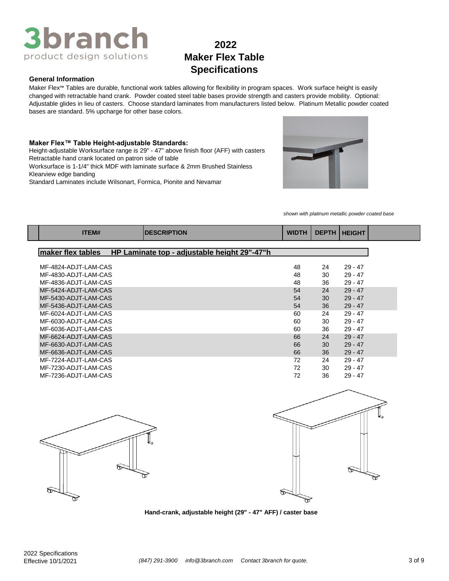## **2022 Maker Flex Table Specifications**

#### **General Information**

Maker Flex™ Tables are durable, functional work tables allowing for flexibility in program spaces. Work surface height is easily changed with retractable hand crank. Powder coated steel table bases provide strength and casters provide mobility. Optional: Adjustable glides in lieu of casters. Choose standard laminates from manufacturers listed below. Platinum Metallic powder coated bases are standard. 5% upcharge for other base colors.

#### **Maker Flex™ Table Height-adjustable Standards:**

Height-adjustable Worksurface range is 29" - 47" above finish floor (AFF) with casters Retractable hand crank located on patron side of table

Worksurface is 1-1/4" thick MDF with laminate surface & 2mm Brushed Stainless Klearview edge banding

Standard Laminates include Wilsonart, Formica, Pionite and Nevamar



*shown with platinum metallic powder coated base*

| ITEM#                | <b>DESCRIPTION</b>                           | <b>WIDTH</b> | <b>DEPTH</b> | <b>HEIGHT</b> |
|----------------------|----------------------------------------------|--------------|--------------|---------------|
|                      |                                              |              |              |               |
| maker flex tables    | HP Laminate top - adjustable height 29"-47"h |              |              |               |
|                      |                                              |              |              |               |
| MF-4824-ADJT-LAM-CAS |                                              | 48           | 24           | $29 - 47$     |
| MF-4830-ADJT-LAM-CAS |                                              | 48           | 30           | $29 - 47$     |
| MF-4836-ADJT-LAM-CAS |                                              | 48           | 36           | $29 - 47$     |
| MF-5424-ADJT-LAM-CAS |                                              | 54           | 24           | $29 - 47$     |
| MF-5430-ADJT-LAM-CAS |                                              | 54           | 30           | $29 - 47$     |
| MF-5436-ADJT-LAM-CAS |                                              | 54           | 36           | $29 - 47$     |
| MF-6024-ADJT-LAM-CAS |                                              | 60           | 24           | $29 - 47$     |
| MF-6030-ADJT-LAM-CAS |                                              | 60           | 30           | $29 - 47$     |
| MF-6036-ADJT-LAM-CAS |                                              | 60           | 36           | $29 - 47$     |
| MF-6624-ADJT-LAM-CAS |                                              | 66           | 24           | $29 - 47$     |
| MF-6630-ADJT-LAM-CAS |                                              | 66           | 30           | $29 - 47$     |
| MF-6636-ADJT-LAM-CAS |                                              | 66           | 36           | $29 - 47$     |
| MF-7224-ADJT-LAM-CAS |                                              | 72           | 24           | $29 - 47$     |
| MF-7230-ADJT-LAM-CAS |                                              | 72           | 30           | $29 - 47$     |
| MF-7236-ADJT-LAM-CAS |                                              | 72           | 36           | $29 - 47$     |





**Hand-crank, adjustable height (29" - 47" AFF) / caster base**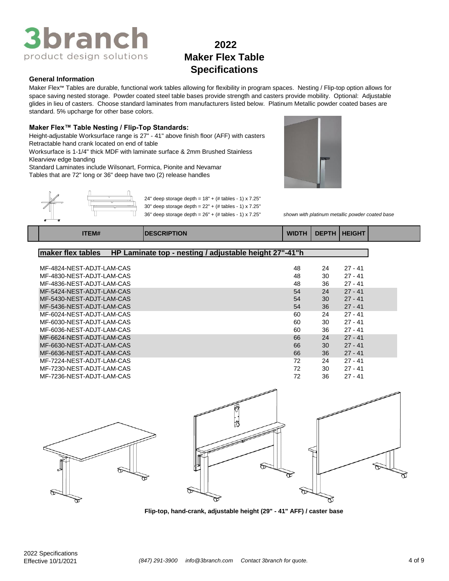## **2022 Maker Flex Table Specifications**

#### **General Information**

Maker Flex™ Tables are durable, functional work tables allowing for flexibility in program spaces. Nesting / Flip-top option allows for space saving nested storage. Powder coated steel table bases provide strength and casters provide mobility. Optional: Adjustable glides in lieu of casters. Choose standard laminates from manufacturers listed below. Platinum Metallic powder coated bases are standard. 5% upcharge for other base colors.

#### **Maker Flex™ Table Nesting / Flip-Top Standards:**

Height-adjustable Worksurface range is 27" - 41" above finish floor (AFF) with casters Retractable hand crank located on end of table

Worksurface is 1-1/4" thick MDF with laminate surface & 2mm Brushed Stainless Klearview edge banding

Standard Laminates include Wilsonart, Formica, Pionite and Nevamar

Tables that are 72" long or 36" deep have two (2) release handles



36" deep storage depth = 26" + (# tables - 1) x 7.25" *shown with platinum metallic powder coated base*

|  |  | <b>ITEM#</b> | <b>DESCRIPTION</b> | <b>WIDTH</b> | <b>DEPTH</b> | <b>HEIGHT</b> |  |
|--|--|--------------|--------------------|--------------|--------------|---------------|--|
|--|--|--------------|--------------------|--------------|--------------|---------------|--|

24" deep storage depth =  $18" + (+$  tables - 1) x 7.25" 30" deep storage depth = 22" + (# tables - 1) x 7.25"

#### **maker flex tables HP Laminate top - nesting / adjustable height 27"-41"h**

| MF-4824-NEST-ADJT-LAM-CAS | 48 | 24 | $27 - 41$ |  |
|---------------------------|----|----|-----------|--|
| MF-4830-NEST-ADJT-LAM-CAS | 48 | 30 | $27 - 41$ |  |
| MF-4836-NEST-ADJT-LAM-CAS | 48 | 36 | $27 - 41$ |  |
| MF-5424-NEST-ADJT-LAM-CAS | 54 | 24 | $27 - 41$ |  |
| MF-5430-NEST-ADJT-LAM-CAS | 54 | 30 | $27 - 41$ |  |
| MF-5436-NEST-ADJT-LAM-CAS | 54 | 36 | $27 - 41$ |  |
| MF-6024-NFST-ADJT-LAM-CAS | 60 | 24 | $27 - 41$ |  |
| MF-6030-NEST-ADJT-LAM-CAS | 60 | 30 | $27 - 41$ |  |
| MF-6036-NFST-ADJT-LAM-CAS | 60 | 36 | $27 - 41$ |  |
| MF-6624-NEST-ADJT-LAM-CAS | 66 | 24 | $27 - 41$ |  |
| MF-6630-NEST-ADJT-LAM-CAS | 66 | 30 | $27 - 41$ |  |
| MF-6636-NEST-ADJT-LAM-CAS | 66 | 36 | $27 - 41$ |  |
| MF-7224-NEST-ADJT-LAM-CAS | 72 | 24 | $27 - 41$ |  |
| MF-7230-NEST-ADJT-LAM-CAS | 72 | 30 | $27 - 41$ |  |
| MF-7236-NEST-ADJT-LAM-CAS | 72 | 36 | $27 - 41$ |  |



**Flip-top, hand-crank, adjustable height (29" - 41" AFF) / caster base**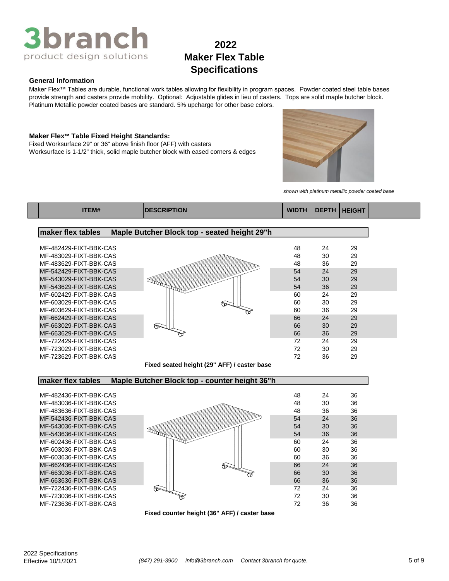

#### **General Information**

Maker Flex™ Tables are durable, functional work tables allowing for flexibility in program spaces. Powder coated steel table bases provide strength and casters provide mobility. Optional: Adjustable glides in lieu of casters. Tops are solid maple butcher block. Platinum Metallic powder coated bases are standard. 5% upcharge for other base colors.

#### **Maker Flex™ Table Fixed Height Standards:**

Fixed Worksurface 29" or 36" above finish floor (AFF) with casters Worksurface is 1-1/2" thick, solid maple butcher block with eased corners & edges



*shown with platinum metallic powder coated base*

| <b>TEM#</b> | <b>IDESCRIPTION</b> | <b>WIDTH</b> | DEPTH   HEIGHT |  |
|-------------|---------------------|--------------|----------------|--|
|             |                     |              |                |  |

#### **maker flex tables Maple Butcher Block top - seated height 29"h** MF-482429-FIXT-BBK-CAS 48 24 29 MF-483029-FIXT-BBK-CAS 48 30 29 MF-483629-FIXT-BBK-CAS 48 36 29 MF-542429-FIXT-BBK-CAS 54 24 29<br>MF-543029-FIXT-BBK-CAS 54 30 29<br>54 36 29 MF-543029-FIXT-BBK-CAS 54 30 29 MF-543629-FIXT-BBK-CAS 10 1 29 1 36 29 MF-602429-FIXT-BBK-CAS 60 24 29 MF-603029-FIXT-BBK-CAS 60 30 29 MF-603629-FIXT-BBK-CAS III <del>WW 60</del> 36 29 MF-662429-FIXT-BBK-CAS 66 24 29 MF-663029-FIXT-BBK-CAS 65 30 29 MF-663629-FIXT-BBK-CAS **66** 36 29 MF-722429-FIXT-BBK-CAS 72 24 29 MF-723029-FIXT-BBK-CAS 72 30 29 MF-723629-FIXT-BBK-CAS 72 36 29

**Fixed seated height (29" AFF) / caster base**

#### **maker flex tables Maple Butcher Block top - counter height 36"h**



**Fixed counter height (36" AFF) / caster base**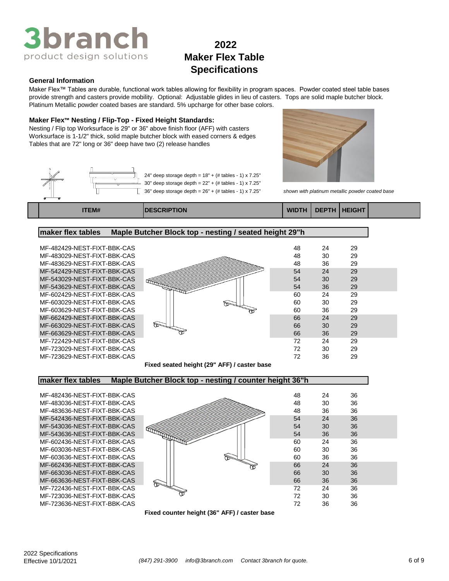

#### **General Information**

Maker Flex™ Tables are durable, functional work tables allowing for flexibility in program spaces. Powder coated steel table bases provide strength and casters provide mobility. Optional: Adjustable glides in lieu of casters. Tops are solid maple butcher block. Platinum Metallic powder coated bases are standard. 5% upcharge for other base colors.

#### **Maker Flex™ Nesting / Flip-Top - Fixed Height Standards:**

Nesting / Flip top Worksurface is 29" or 36" above finish floor (AFF) with casters Worksurface is 1-1/2" thick, solid maple butcher block with eased corners & edges Tables that are 72" long or 36" deep have two (2) release handles







36" deep storage depth = 26" + (# tables - 1) x 7.25" *shown with platinum metallic powder coated base*

**ITEM# DESCRIPTION WIDTH DEPTH HEIGHT**





**Fixed seated height (29" AFF) / caster base**

#### **maker flex tables Maple Butcher Block top - nesting / counter height 36"h**



**Fixed counter height (36" AFF) / caster base**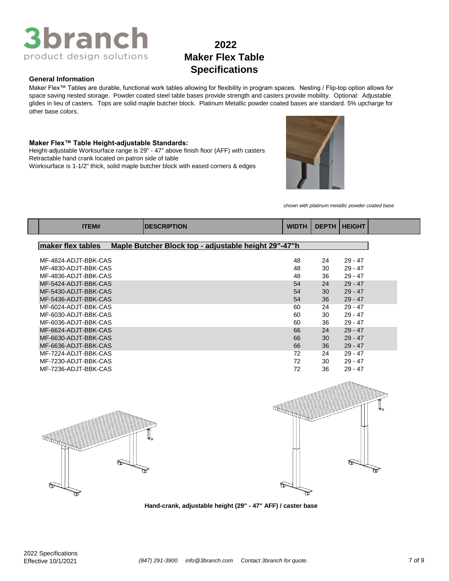## **2022 Maker Flex Table Specifications**

#### **General Information**

Maker Flex™ Tables are durable, functional work tables allowing for flexibility in program spaces. Nesting / Flip-top option allows for space saving nested storage. Powder coated steel table bases provide strength and casters provide mobility. Optional: Adjustable glides in lieu of casters. Tops are solid maple butcher block. Platinum Metallic powder coated bases are standard. 5% upcharge for other base colors.

#### **Maker Flex™ Table Height-adjustable Standards:**

Worksurface is 1-1/2" thick, solid maple butcher block with eased corners & edges Height-adjustable Worksurface range is 29" - 47" above finish floor (AFF) with casters Retractable hand crank located on patron side of table



*shown with platinum metallic powder coated base*

| ITEM#                | <b>DESCRIPTION</b>                                   | <b>WIDTH</b> | <b>DEPTH</b> | <b>HEIGHT</b> |
|----------------------|------------------------------------------------------|--------------|--------------|---------------|
| maker flex tables    | Maple Butcher Block top - adjustable height 29"-47"h |              |              |               |
|                      |                                                      |              |              |               |
| MF-4824-ADJT-BBK-CAS |                                                      | 48           | 24           | $29 - 47$     |
| MF-4830-ADJT-BBK-CAS |                                                      | 48           | 30           | $29 - 47$     |
| MF-4836-ADJT-BBK-CAS |                                                      | 48           | 36           | $29 - 47$     |
| MF-5424-ADJT-BBK-CAS |                                                      | 54           | 24           | $29 - 47$     |
| MF-5430-ADJT-BBK-CAS |                                                      | 54           | 30           | $29 - 47$     |
| MF-5436-ADJT-BBK-CAS |                                                      | 54           | 36           | $29 - 47$     |
| MF-6024-ADJT-BBK-CAS |                                                      | 60           | 24           | $29 - 47$     |
| MF-6030-ADJT-BBK-CAS |                                                      | 60           | 30           | $29 - 47$     |
| MF-6036-ADJT-BBK-CAS |                                                      | 60           | 36           | $29 - 47$     |
| MF-6624-ADJT-BBK-CAS |                                                      | 66           | 24           | $29 - 47$     |
| MF-6630-ADJT-BBK-CAS |                                                      | 66           | 30           | $29 - 47$     |
| MF-6636-ADJT-BBK-CAS |                                                      | 66           | 36           | $29 - 47$     |
| MF-7224-ADJT-BBK-CAS |                                                      | 72           | 24           | $29 - 47$     |
| MF-7230-ADJT-BBK-CAS |                                                      | 72           | 30           | $29 - 47$     |
| MF-7236-ADJT-BBK-CAS |                                                      | 72           | 36           | $29 - 47$     |





**Hand-crank, adjustable height (29" - 47" AFF) / caster base**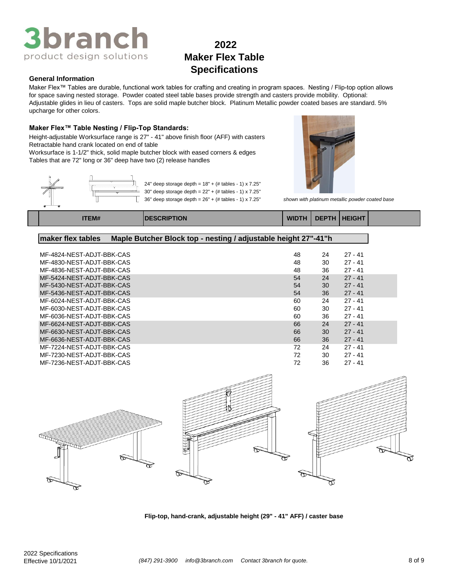## **2022 Maker Flex Table Specifications**

#### **General Information**

Maker Flex™ Tables are durable, functional work tables for crafting and creating in program spaces. Nesting / Flip-top option allows for space saving nested storage. Powder coated steel table bases provide strength and casters provide mobility. Optional: Adjustable glides in lieu of casters. Tops are solid maple butcher block. Platinum Metallic powder coated bases are standard. 5% upcharge for other colors.

#### **Maker Flex™ Table Nesting / Flip-Top Standards:**

Height-adjustable Worksurface range is 27" - 41" above finish floor (AFF) with casters Retractable hand crank located on end of table

Worksurface is 1-1/2" thick, solid maple butcher block with eased corners & edges Tables that are 72" long or 36" deep have two (2) release handles





| <b>ITEM#</b> | TION<br>JRIP | <b>WIDTH</b> | <b>DEPTH</b> | <b>HEIGHT</b> |  |
|--------------|--------------|--------------|--------------|---------------|--|
|              |              |              |              |               |  |

### **maker flex tables Maple Butcher Block top - nesting / adjustable height 27"-41"h**

| MF-4824-NEST-ADJT-BBK-CAS | 48 | 24 | $27 - 41$ |  |
|---------------------------|----|----|-----------|--|
| MF-4830-NEST-ADJT-BBK-CAS | 48 | 30 | $27 - 41$ |  |
| MF-4836-NEST-ADJT-BBK-CAS | 48 | 36 | $27 - 41$ |  |
| MF-5424-NEST-ADJT-BBK-CAS | 54 | 24 | $27 - 41$ |  |
| MF-5430-NEST-ADJT-BBK-CAS | 54 | 30 | $27 - 41$ |  |
| MF-5436-NEST-ADJT-BBK-CAS | 54 | 36 | $27 - 41$ |  |
| MF-6024-NEST-ADJT-BBK-CAS | 60 | 24 | $27 - 41$ |  |
| MF-6030-NEST-ADJT-BBK-CAS | 60 | 30 | $27 - 41$ |  |
| MF-6036-NEST-ADJT-BBK-CAS | 60 | 36 | $27 - 41$ |  |
| MF-6624-NEST-ADJT-BBK-CAS | 66 | 24 | $27 - 41$ |  |
| MF-6630-NEST-ADJT-BBK-CAS | 66 | 30 | $27 - 41$ |  |
| MF-6636-NEST-ADJT-BBK-CAS | 66 | 36 | $27 - 41$ |  |
| MF-7224-NEST-ADJT-BBK-CAS | 72 | 24 | $27 - 41$ |  |
| MF-7230-NEST-ADJT-BBK-CAS | 72 | 30 | $27 - 41$ |  |
| MF-7236-NEST-ADJT-BBK-CAS | 72 | 36 | $27 - 41$ |  |
|                           |    |    |           |  |